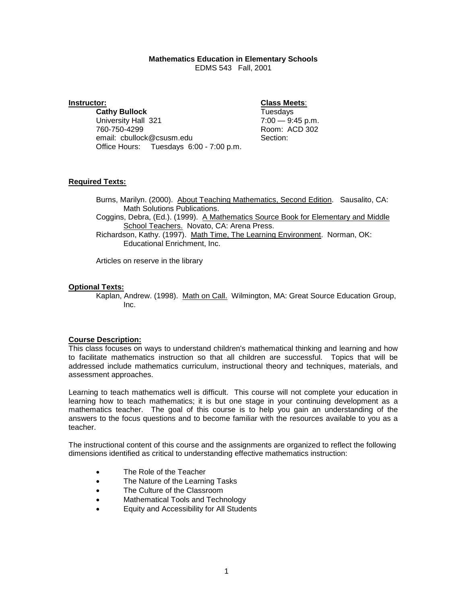# **Mathematics Education in Elementary Schools**

EDMS 543 Fall, 2001

**Instructor: Class Meets**: **Cathy Bullock** University Hall 321 7:00 - 9:45 p.m. 760-750-4299 Room: ACD 302 email: cbullock@csusm.edu Office Hours: Tuesdays 6:00 - 7:00 p.m.

# **Required Texts:**

Burns, Marilyn. (2000). About Teaching Mathematics, Second Edition. Sausalito, CA: Math Solutions Publications.

Coggins, Debra, (Ed.). (1999). A Mathematics Source Book for Elementary and Middle School Teachers. Novato, CA: Arena Press.

Richardson, Kathy. (1997). Math Time, The Learning Environment. Norman, OK: Educational Enrichment, Inc.

Articles on reserve in the library

# **Optional Texts:**

Kaplan, Andrew. (1998). Math on Call. Wilmington, MA: Great Source Education Group, Inc.

### **Course Description:**

This class focuses on ways to understand children's mathematical thinking and learning and how to facilitate mathematics instruction so that all children are successful. Topics that will be addressed include mathematics curriculum, instructional theory and techniques, materials, and assessment approaches.

Learning to teach mathematics well is difficult. This course will not complete your education in learning how to teach mathematics; it is but one stage in your continuing development as a mathematics teacher. The goal of this course is to help you gain an understanding of the answers to the focus questions and to become familiar with the resources available to you as a teacher.

The instructional content of this course and the assignments are organized to reflect the following dimensions identified as critical to understanding effective mathematics instruction:

- The Role of the Teacher
- The Nature of the Learning Tasks
- The Culture of the Classroom
- Mathematical Tools and Technology
- Equity and Accessibility for All Students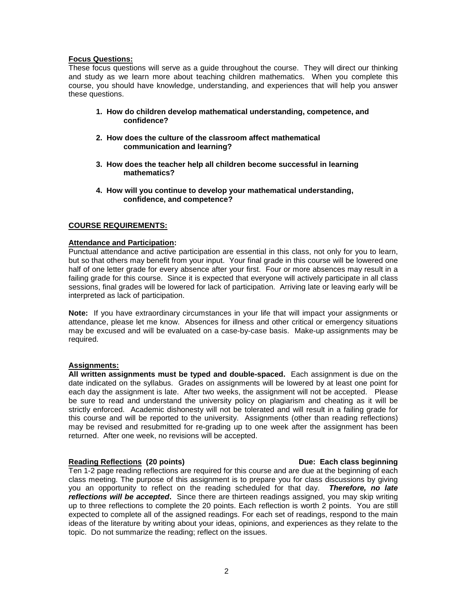### **Focus Questions:**

These focus questions will serve as a guide throughout the course. They will direct our thinking and study as we learn more about teaching children mathematics. When you complete this course, you should have knowledge, understanding, and experiences that will help you answer these questions.

- **1. How do children develop mathematical understanding, competence, and confidence?**
- **2. How does the culture of the classroom affect mathematical communication and learning?**
- **3. How does the teacher help all children become successful in learning mathematics?**
- **4. How will you continue to develop your mathematical understanding, confidence, and competence?**

# **COURSE REQUIREMENTS:**

### **Attendance and Participation:**

Punctual attendance and active participation are essential in this class, not only for you to learn, but so that others may benefit from your input. Your final grade in this course will be lowered one half of one letter grade for every absence after your first. Four or more absences may result in a failing grade for this course. Since it is expected that everyone will actively participate in all class sessions, final grades will be lowered for lack of participation. Arriving late or leaving early will be interpreted as lack of participation.

**Note:** If you have extraordinary circumstances in your life that will impact your assignments or attendance, please let me know. Absences for illness and other critical or emergency situations may be excused and will be evaluated on a case-by-case basis. Make-up assignments may be required.

# **Assignments:**

**All written assignments must be typed and double-spaced.** Each assignment is due on the date indicated on the syllabus. Grades on assignments will be lowered by at least one point for each day the assignment is late. After two weeks, the assignment will not be accepted. Please be sure to read and understand the university policy on plagiarism and cheating as it will be strictly enforced. Academic dishonesty will not be tolerated and will result in a failing grade for this course and will be reported to the university. Assignments (other than reading reflections) may be revised and resubmitted for re-grading up to one week after the assignment has been returned. After one week, no revisions will be accepted.

### **Reading Reflections (20 points) Due: Each class beginning**

### Ten 1-2 page reading reflections are required for this course and are due at the beginning of each class meeting. The purpose of this assignment is to prepare you for class discussions by giving you an opportunity to reflect on the reading scheduled for that day. *Therefore, no late reflections will be accepted***.** Since there are thirteen readings assigned, you may skip writing up to three reflections to complete the 20 points. Each reflection is worth 2 points. You are still expected to complete all of the assigned readings. For each set of readings, respond to the main ideas of the literature by writing about your ideas, opinions, and experiences as they relate to the topic. Do not summarize the reading; reflect on the issues.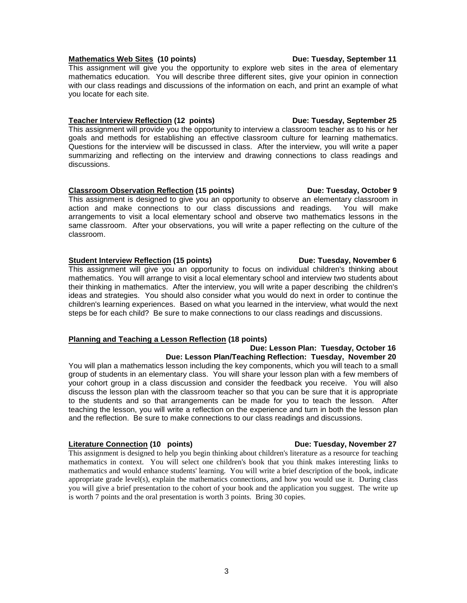# **Mathematics Web Sites (10 points)** Due: Tuesday, September 11

This assignment will give you the opportunity to explore web sites in the area of elementary mathematics education. You will describe three different sites, give your opinion in connection with our class readings and discussions of the information on each, and print an example of what you locate for each site.

# **Teacher Interview Reflection (12 points) Due: Tuesday, September 25**

This assignment will provide you the opportunity to interview a classroom teacher as to his or her goals and methods for establishing an effective classroom culture for learning mathematics. Questions for the interview will be discussed in class. After the interview, you will write a paper summarizing and reflecting on the interview and drawing connections to class readings and discussions.

# **Classroom Observation Reflection (15 points)** Due: Tuesday, October 9

This assignment is designed to give you an opportunity to observe an elementary classroom in action and make connections to our class discussions and readings. You will make arrangements to visit a local elementary school and observe two mathematics lessons in the same classroom. After your observations, you will write a paper reflecting on the culture of the classroom.

# **Student Interview Reflection (15 points) Due: Tuesday, November 6**

This assignment will give you an opportunity to focus on individual children's thinking about mathematics. You will arrange to visit a local elementary school and interview two students about their thinking in mathematics. After the interview, you will write a paper describing the children's ideas and strategies. You should also consider what you would do next in order to continue the children's learning experiences. Based on what you learned in the interview, what would the next steps be for each child? Be sure to make connections to our class readings and discussions.

# **Planning and Teaching a Lesson Reflection (18 points)**

### **Due: Lesson Plan: Tuesday, October 16 Due: Lesson Plan/Teaching Reflection: Tuesday, November 20**

You will plan a mathematics lesson including the key components, which you will teach to a small group of students in an elementary class. You will share your lesson plan with a few members of your cohort group in a class discussion and consider the feedback you receive. You will also discuss the lesson plan with the classroom teacher so that you can be sure that it is appropriate to the students and so that arrangements can be made for you to teach the lesson. After teaching the lesson, you will write a reflection on the experience and turn in both the lesson plan and the reflection. Be sure to make connections to our class readings and discussions.

# **Literature Connection (10 points) Connection** Due: Tuesday, November 27

This assignment is designed to help you begin thinking about children's literature as a resource for teaching mathematics in context. You will select one children's book that you think makes interesting links to mathematics and would enhance students' learning. You will write a brief description of the book, indicate appropriate grade level(s), explain the mathematics connections, and how you would use it. During class you will give a brief presentation to the cohort of your book and the application you suggest. The write up is worth 7 points and the oral presentation is worth 3 points. Bring 30 copies.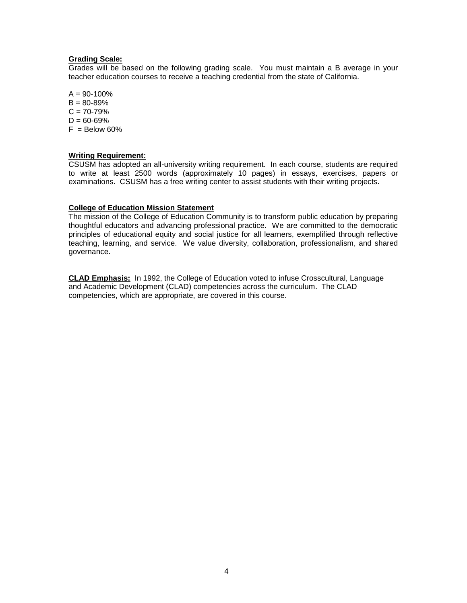### **Grading Scale:**

Grades will be based on the following grading scale. You must maintain a B average in your teacher education courses to receive a teaching credential from the state of California.

 $A = 90 - 100\%$  $B = 80 - 89%$  $C = 70 - 79%$  $D = 60 - 69%$  $F =$  Below 60%

### **Writing Requirement:**

CSUSM has adopted an all-university writing requirement. In each course, students are required to write at least 2500 words (approximately 10 pages) in essays, exercises, papers or examinations. CSUSM has a free writing center to assist students with their writing projects.

### **College of Education Mission Statement**

The mission of the College of Education Community is to transform public education by preparing thoughtful educators and advancing professional practice. We are committed to the democratic principles of educational equity and social justice for all learners, exemplified through reflective teaching, learning, and service. We value diversity, collaboration, professionalism, and shared governance.

**CLAD Emphasis:** In 1992, the College of Education voted to infuse Crosscultural, Language and Academic Development (CLAD) competencies across the curriculum. The CLAD competencies, which are appropriate, are covered in this course.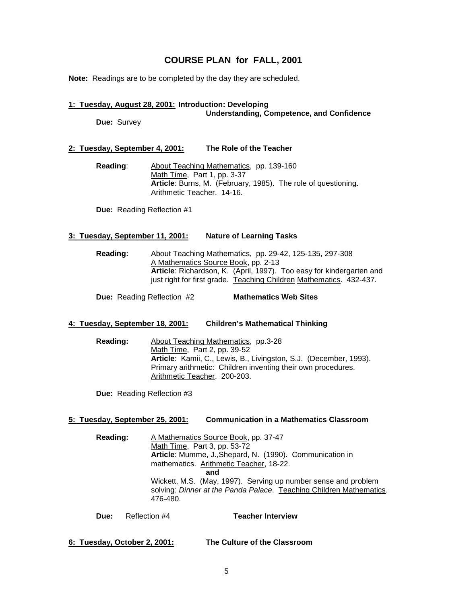# **COURSE PLAN for FALL, 2001**

**Note:** Readings are to be completed by the day they are scheduled.

### **1: Tuesday, August 28, 2001: Introduction: Developing Understanding, Competence, and Confidence**

**Due:** Survey

# **2: Tuesday, September 4, 2001: The Role of the Teacher**

**Reading**: About Teaching Mathematics, pp. 139-160 Math Time, Part 1, pp. 3-37 **Article**: Burns, M. (February, 1985). The role of questioning. Arithmetic Teacher. 14-16.

**Due:** Reading Reflection #1

# **3: Tuesday, September 11, 2001: Nature of Learning Tasks**

**Reading:** About Teaching Mathematics, pp. 29-42, 125-135, 297-308 A Mathematics Source Book, pp. 2-13 **Article**: Richardson, K. (April, 1997). Too easy for kindergarten and just right for first grade. Teaching Children Mathematics. 432-437.

**Due:** Reading Reflection #2 **Mathematics Web Sites**

### **4: Tuesday, September 18, 2001: Children's Mathematical Thinking**

**Reading:** About Teaching Mathematics, pp.3-28 Math Time, Part 2, pp. 39-52 **Article**: Kamii, C., Lewis, B., Livingston, S.J. (December, 1993). Primary arithmetic: Children inventing their own procedures. Arithmetic Teacher. 200-203.

**Due:** Reading Reflection #3

### **5: Tuesday, September 25, 2001: Communication in a Mathematics Classroom**

**Reading:** A Mathematics Source Book, pp. 37-47 Math Time, Part 3, pp. 53-72 **Article**: Mumme, J.,Shepard, N. (1990). Communication in mathematics. Arithmetic Teacher, 18-22. **and** Wickett, M.S. (May, 1997). Serving up number sense and problem solving: *Dinner at the Panda Palace*. Teaching Children Mathematics. 476-480.

**Due:** Reflection #4 **Teacher Interview**

**6: Tuesday, October 2, 2001: The Culture of the Classroom**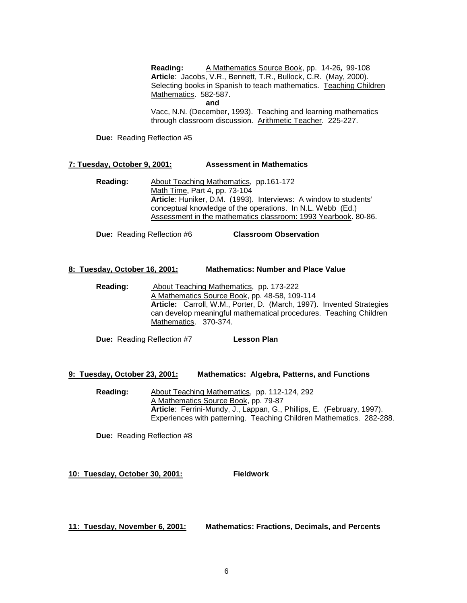**Reading:** A Mathematics Source Book, pp. 14-26**,** 99-108 **Article**: Jacobs, V.R., Bennett, T.R., Bullock, C.R. (May, 2000). Selecting books in Spanish to teach mathematics. Teaching Children Mathematics. 582-587.

**and**

Vacc, N.N. (December, 1993). Teaching and learning mathematics through classroom discussion. Arithmetic Teacher. 225-227.

**Due:** Reading Reflection #5

# **7: Tuesday, October 9, 2001: Assessment in Mathematics**

**Reading:** About Teaching Mathematics, pp.161-172 Math Time, Part 4, pp. 73-104 **Article**: Huniker, D.M. (1993). Interviews: A window to students' conceptual knowledge of the operations. In N.L. Webb (Ed.) Assessment in the mathematics classroom: 1993 Yearbook. 80-86.

**Due:** Reading Reflection #6 **Classroom Observation**

### **8: Tuesday, October 16, 2001: Mathematics: Number and Place Value**

**Reading:** About Teaching Mathematics, pp. 173-222 A Mathematics Source Book, pp. 48-58, 109-114 **Article:** Carroll, W.M., Porter, D. (March, 1997). Invented Strategies can develop meaningful mathematical procedures. Teaching Children Mathematics. 370-374.

**Due:** Reading Reflection #7 **Lesson Plan**

### **9: Tuesday, October 23, 2001: Mathematics: Algebra, Patterns, and Functions**

**Reading:** About Teaching Mathematics, pp. 112-124, 292 A Mathematics Source Book, pp. 79-87 **Article**: Ferrini-Mundy, J., Lappan, G., Phillips, E. (February, 1997). Experiences with patterning. Teaching Children Mathematics. 282-288.

**Due:** Reading Reflection #8

**10: Tuesday, October 30, 2001: Fieldwork**

**11: Tuesday, November 6, 2001: Mathematics: Fractions, Decimals, and Percents**